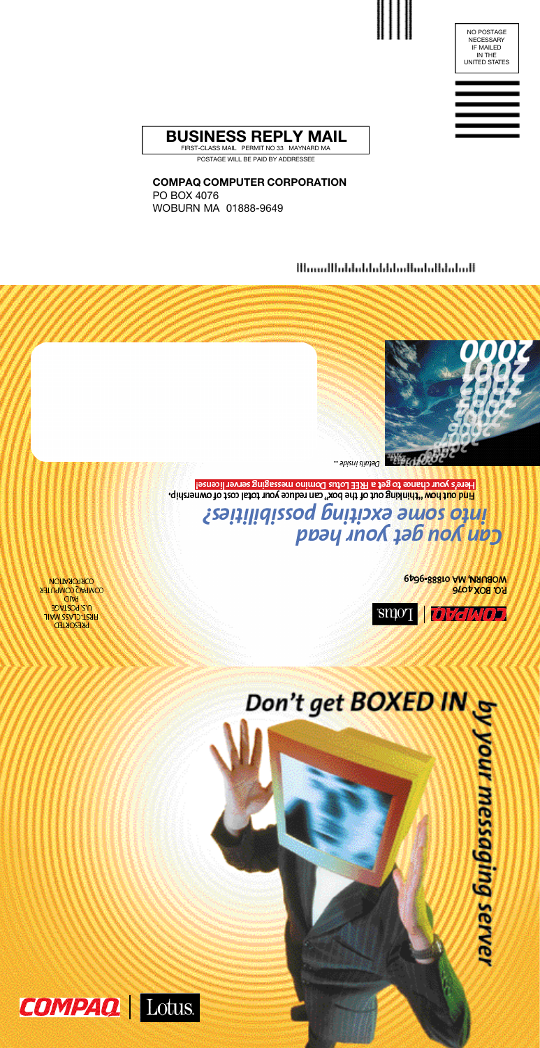#### **COMPAQ COMPUTER CORPORATION**

PO BOX 4076 WOBURN MA 01888-9649

#### <u> Մասաքքնական կանկացնակների մ</u>



petails inside...

Here's your chance to get a FREE Lotus Domino messaging server license! Find out how "thinking out of the box" can reduce your total cost of ownership.

Linto some exciting possibilities?<br>Gan you get your head

WOBURN, MA 01888-9649 **P.O. BOX 4076** 



**VORPORATION COMPAQ COMPUTER alka** U.S. POSTAGE **FIRST-CLASS MAIL PRESORTED** 

# Don't get BOXED IN &



POSTAGE WILL BE PAID BY ADDRESSEE



NO POSTAGE NECESSARY IF MAILED IN THE UNITED STATES